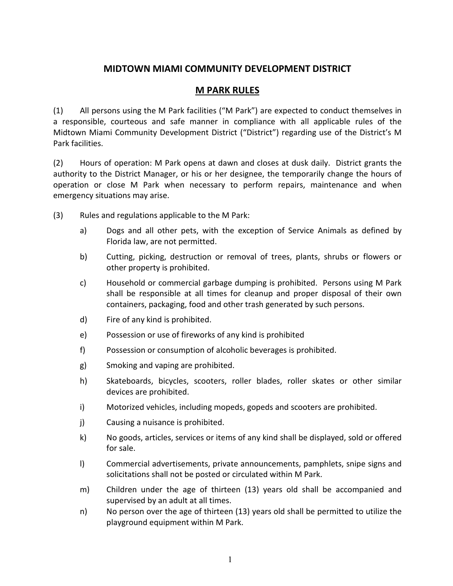## **MIDTOWN MIAMI COMMUNITY DEVELOPMENT DISTRICT**

## **M PARK RULES**

(1) All persons using the M Park facilities ("M Park") are expected to conduct themselves in a responsible, courteous and safe manner in compliance with all applicable rules of the Midtown Miami Community Development District ("District") regarding use of the District's M Park facilities.

(2) Hours of operation: M Park opens at dawn and closes at dusk daily. District grants the authority to the District Manager, or his or her designee, the temporarily change the hours of operation or close M Park when necessary to perform repairs, maintenance and when emergency situations may arise.

- (3) Rules and regulations applicable to the M Park:
	- a) Dogs and all other pets, with the exception of Service Animals as defined by Florida law, are not permitted.
	- b) Cutting, picking, destruction or removal of trees, plants, shrubs or flowers or other property is prohibited.
	- c) Household or commercial garbage dumping is prohibited. Persons using M Park shall be responsible at all times for cleanup and proper disposal of their own containers, packaging, food and other trash generated by such persons.
	- d) Fire of any kind is prohibited.
	- e) Possession or use of fireworks of any kind is prohibited
	- f) Possession or consumption of alcoholic beverages is prohibited.
	- g) Smoking and vaping are prohibited.
	- h) Skateboards, bicycles, scooters, roller blades, roller skates or other similar devices are prohibited.
	- i) Motorized vehicles, including mopeds, gopeds and scooters are prohibited.
	- j) Causing a nuisance is prohibited.
	- k) No goods, articles, services or items of any kind shall be displayed, sold or offered for sale.
	- l) Commercial advertisements, private announcements, pamphlets, snipe signs and solicitations shall not be posted or circulated within M Park.
	- m) Children under the age of thirteen (13) years old shall be accompanied and supervised by an adult at all times.
	- n) No person over the age of thirteen (13) years old shall be permitted to utilize the playground equipment within M Park.